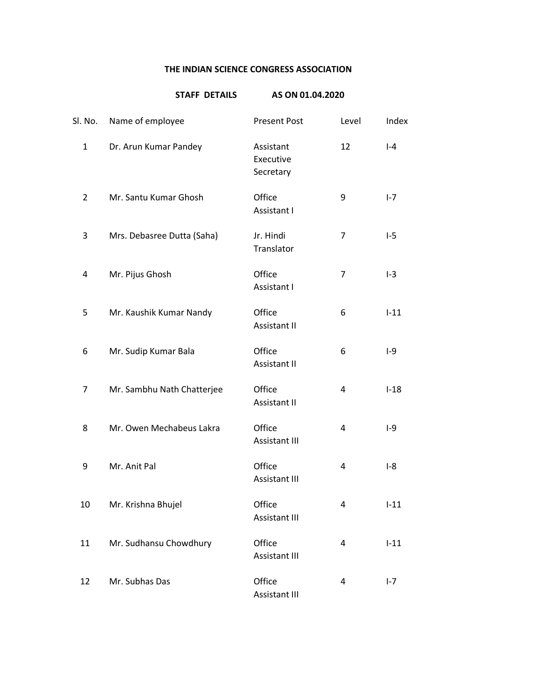## **THE INDIAN SCIENCE CONGRESS ASSOCIATION**

|                | <b>STAFF DETAILS</b>       | AS ON 01.04.2020                    |                |         |
|----------------|----------------------------|-------------------------------------|----------------|---------|
| Sl. No.        | Name of employee           | <b>Present Post</b>                 | Level          | Index   |
| $\mathbf{1}$   | Dr. Arun Kumar Pandey      | Assistant<br>Executive<br>Secretary | 12             | $ -4$   |
| $\overline{2}$ | Mr. Santu Kumar Ghosh      | Office<br>Assistant I               | 9              | $I - 7$ |
| 3              | Mrs. Debasree Dutta (Saha) | Jr. Hindi<br>Translator             | $\overline{7}$ | $I-5$   |
| 4              | Mr. Pijus Ghosh            | Office<br>Assistant I               | 7              | $I-3$   |
| 5              | Mr. Kaushik Kumar Nandy    | Office<br><b>Assistant II</b>       | 6              | $I-11$  |
| 6              | Mr. Sudip Kumar Bala       | Office<br><b>Assistant II</b>       | 6              | $I-9$   |
| 7              | Mr. Sambhu Nath Chatterjee | Office<br><b>Assistant II</b>       | 4              | $I-18$  |
| 8              | Mr. Owen Mechabeus Lakra   | Office<br><b>Assistant III</b>      | 4              | $I-9$   |
| 9              | Mr. Anit Pal               | Office<br>Assistant III             | 4              | $I-8$   |
| 10             | Mr. Krishna Bhujel         | Office<br><b>Assistant III</b>      | 4              | $I-11$  |
| 11             | Mr. Sudhansu Chowdhury     | Office<br><b>Assistant III</b>      | 4              | $I-11$  |
| 12             | Mr. Subhas Das             | Office<br><b>Assistant III</b>      | 4              | $I - 7$ |